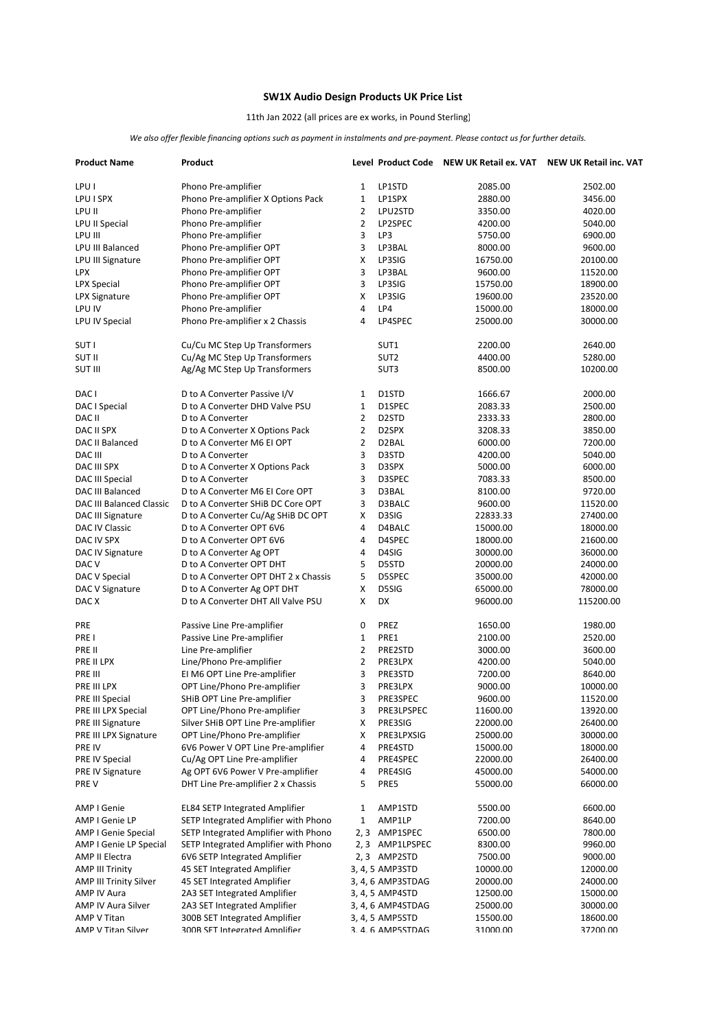## **SW1X Audio Design Products UK Price List**

## 11th Jan 2022 (all prices are ex works, in Pound Sterling)

*We also offer flexible financing options such as payment in instalments and pre-payment. Please contact us for further details.*

| <b>Product Name</b>               | Product                                                            |                |                                    | Level Product Code NEW UK Retail ex. VAT NEW UK Retail inc. VAT |                      |
|-----------------------------------|--------------------------------------------------------------------|----------------|------------------------------------|-----------------------------------------------------------------|----------------------|
| LPU I                             | Phono Pre-amplifier                                                | $\mathbf{1}$   | LP1STD                             | 2085.00                                                         | 2502.00              |
| LPU I SPX                         | Phono Pre-amplifier X Options Pack                                 | $\mathbf{1}$   | LP1SPX                             | 2880.00                                                         | 3456.00              |
| LPU II                            | Phono Pre-amplifier                                                | $\overline{2}$ | LPU2STD                            | 3350.00                                                         | 4020.00              |
| LPU II Special                    | Phono Pre-amplifier                                                | $\overline{2}$ | LP2SPEC                            | 4200.00                                                         | 5040.00              |
| LPU III                           | Phono Pre-amplifier                                                | 3              | LP3                                | 5750.00                                                         | 6900.00              |
| LPU III Balanced                  | Phono Pre-amplifier OPT                                            | 3              | LP3BAL                             | 8000.00                                                         | 9600.00              |
| LPU III Signature                 | Phono Pre-amplifier OPT                                            | X              | LP3SIG                             | 16750.00                                                        | 20100.00             |
| LPX                               | Phono Pre-amplifier OPT                                            | 3              | LP3BAL                             | 9600.00                                                         | 11520.00             |
| <b>LPX Special</b>                | Phono Pre-amplifier OPT                                            | 3              | LP3SIG                             | 15750.00                                                        | 18900.00             |
| <b>LPX Signature</b>              | Phono Pre-amplifier OPT                                            | Χ              | LP3SIG                             | 19600.00                                                        | 23520.00             |
| LPU IV                            | Phono Pre-amplifier                                                | $\overline{4}$ | LP4                                | 15000.00                                                        | 18000.00             |
| LPU IV Special                    | Phono Pre-amplifier x 2 Chassis                                    | 4              | LP4SPEC                            | 25000.00                                                        | 30000.00             |
| <b>SUTI</b>                       | Cu/Cu MC Step Up Transformers                                      |                | SUT1                               | 2200.00                                                         | 2640.00              |
| <b>SUT II</b>                     | Cu/Ag MC Step Up Transformers                                      |                | SUT <sub>2</sub>                   | 4400.00                                                         | 5280.00              |
| <b>SUT III</b>                    | Ag/Ag MC Step Up Transformers                                      |                | SUT3                               | 8500.00                                                         | 10200.00             |
| DAC I                             | D to A Converter Passive I/V                                       | $\mathbf{1}$   | D1STD                              | 1666.67                                                         | 2000.00              |
| DAC I Special                     | D to A Converter DHD Valve PSU                                     | $\mathbf{1}$   | D1SPEC                             | 2083.33                                                         | 2500.00              |
| DAC II                            | D to A Converter                                                   | $\overline{2}$ | D <sub>2</sub> STD                 | 2333.33                                                         | 2800.00              |
| DAC II SPX                        | D to A Converter X Options Pack                                    | $\overline{2}$ | D2SPX                              | 3208.33                                                         | 3850.00              |
| <b>DAC II Balanced</b>            | D to A Converter M6 EI OPT                                         | $\overline{2}$ | D <sub>2</sub> BAL                 | 6000.00                                                         | 7200.00              |
| DAC III                           | D to A Converter                                                   | 3              | D3STD                              | 4200.00                                                         | 5040.00              |
| DAC III SPX                       | D to A Converter X Options Pack                                    | 3              | D3SPX                              | 5000.00                                                         | 6000.00              |
| <b>DAC III Special</b>            | D to A Converter                                                   | 3              | D3SPEC                             | 7083.33                                                         | 8500.00              |
| DAC III Balanced                  | D to A Converter M6 El Core OPT                                    | 3              | D3BAL                              | 8100.00                                                         | 9720.00              |
| <b>DAC III Balanced Classic</b>   | D to A Converter SHiB DC Core OPT                                  | 3              | D3BALC                             | 9600.00                                                         | 11520.00             |
| DAC III Signature                 | D to A Converter Cu/Ag SHiB DC OPT                                 | Χ              | D3SIG                              | 22833.33                                                        | 27400.00             |
| DAC IV Classic                    | D to A Converter OPT 6V6                                           | $\overline{4}$ | D4BALC                             | 15000.00                                                        | 18000.00             |
| DAC IV SPX                        | D to A Converter OPT 6V6                                           | 4              | D4SPEC                             | 18000.00                                                        | 21600.00             |
| DAC IV Signature                  | D to A Converter Ag OPT                                            | 4              | D4SIG                              | 30000.00                                                        | 36000.00             |
| DAC <sub>V</sub>                  | D to A Converter OPT DHT                                           | 5              | D5STD                              | 20000.00                                                        | 24000.00             |
| DAC V Special                     | D to A Converter OPT DHT 2 x Chassis                               | 5              | D5SPEC                             | 35000.00                                                        | 42000.00             |
| DAC V Signature                   | D to A Converter Ag OPT DHT                                        | Χ              | D5SIG                              | 65000.00                                                        | 78000.00             |
| DAC X                             | D to A Converter DHT All Valve PSU                                 | x              | DX                                 | 96000.00                                                        | 115200.00            |
| PRE                               | Passive Line Pre-amplifier                                         | 0              | PREZ                               | 1650.00                                                         | 1980.00              |
| PRE I                             | Passive Line Pre-amplifier                                         | $\mathbf{1}$   | PRE1                               | 2100.00                                                         | 2520.00              |
| PRE II                            | Line Pre-amplifier                                                 | $\overline{2}$ | PRE2STD                            | 3000.00                                                         | 3600.00              |
| PRE II LPX                        | Line/Phono Pre-amplifier                                           | $\overline{2}$ | PRE3LPX                            | 4200.00                                                         | 5040.00              |
| PRE III                           | EI M6 OPT Line Pre-amplifier                                       | 3              | PRE3STD                            | 7200.00                                                         | 8640.00              |
| PRE III LPX                       | OPT Line/Phono Pre-amplifier                                       | 3              | PRE3LPX                            | 9000.00                                                         | 10000.00             |
| PRE III Special                   | SHiB OPT Line Pre-amplifier                                        | 3              | PRE3SPEC                           | 9600.00                                                         | 11520.00             |
| PRE III LPX Special               | OPT Line/Phono Pre-amplifier                                       | 3              | PRE3LPSPEC                         | 11600.00                                                        | 13920.00             |
| PRE III Signature                 | Silver SHiB OPT Line Pre-amplifier<br>OPT Line/Phono Pre-amplifier | х<br>х         | PRE3SIG<br>PRE3LPXSIG              | 22000.00<br>25000.00                                            | 26400.00<br>30000.00 |
| PRE III LPX Signature<br>PRE IV   | 6V6 Power V OPT Line Pre-amplifier                                 | 4              | PRE4STD                            | 15000.00                                                        | 18000.00             |
| PRE IV Special                    | Cu/Ag OPT Line Pre-amplifier                                       | 4              | PRE4SPEC                           | 22000.00                                                        | 26400.00             |
| <b>PRE IV Signature</b>           | Ag OPT 6V6 Power V Pre-amplifier                                   | 4              | PRE4SIG                            | 45000.00                                                        | 54000.00             |
| PRE V                             | DHT Line Pre-amplifier 2 x Chassis                                 | 5              | PRE5                               | 55000.00                                                        | 66000.00             |
|                                   |                                                                    |                |                                    |                                                                 |                      |
| AMP I Genie                       | <b>EL84 SETP Integrated Amplifier</b>                              | 1              | AMP1STD                            | 5500.00                                                         | 6600.00              |
| AMP I Genie LP                    | SETP Integrated Amplifier with Phono                               | 1              | AMP1LP                             | 7200.00                                                         | 8640.00              |
| <b>AMP I Genie Special</b>        | SETP Integrated Amplifier with Phono                               | 2, 3           | AMP1SPEC                           | 6500.00                                                         | 7800.00              |
| AMP I Genie LP Special            | SETP Integrated Amplifier with Phono                               |                | 2, 3 AMP1LPSPEC                    | 8300.00                                                         | 9960.00              |
| AMP II Electra                    | 6V6 SETP Integrated Amplifier                                      |                | 2,3 AMP2STD                        | 7500.00                                                         | 9000.00              |
| <b>AMP III Trinity</b>            | 45 SET Integrated Amplifier                                        |                | 3, 4, 5 AMP3STD                    | 10000.00                                                        | 12000.00             |
| <b>AMP III Trinity Silver</b>     | 45 SET Integrated Amplifier                                        |                | 3, 4, 6 AMP3STDAG                  | 20000.00                                                        | 24000.00             |
| AMP IV Aura                       | 2A3 SET Integrated Amplifier                                       |                | 3, 4, 5 AMP4STD                    | 12500.00                                                        | 15000.00             |
| AMP IV Aura Silver                | 2A3 SET Integrated Amplifier                                       |                | 3, 4, 6 AMP4STDAG                  | 25000.00                                                        | 30000.00             |
| AMP V Titan<br>AMP V Titan Silver | 300B SET Integrated Amplifier<br>300B SFT Integrated Amnlifier     |                | 3, 4, 5 AMP5STD<br>3.4.6 AMP5STDAG | 15500.00<br>31000.00                                            | 18600.00<br>37200.00 |
|                                   |                                                                    |                |                                    |                                                                 |                      |